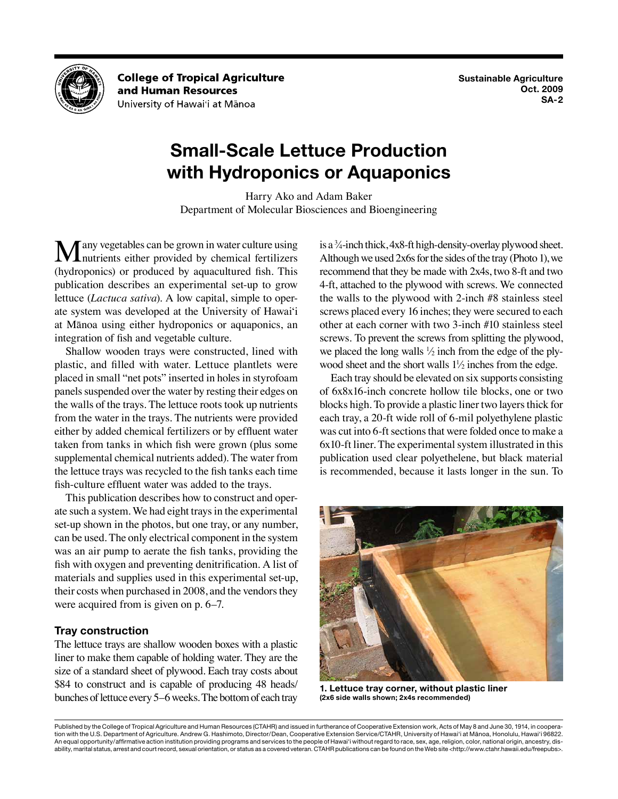

**College of Tropical Agriculture** and Human Resources University of Hawai'i at Mānoa

# **Small-Scale Lettuce Production with Hydroponics or Aquaponics**

Harry Ako and Adam Baker Department of Molecular Biosciences and Bioengineering

**M** any vegetables can be grown in water culture using<br>
nutrients either provided by chemical fertilizers (hydroponics) or produced by aquacultured fish. This publication describes an experimental set-up to grow lettuce (*Lactuca sativa*). A low capital, simple to operate system was developed at the University of Hawai'i at Mānoa using either hydroponics or aquaponics, an integration of fish and vegetable culture.

Shallow wooden trays were constructed, lined with plastic, and filled with water. Lettuce plantlets were placed in small "net pots" inserted in holes in styrofoam panels suspended over the water by resting their edges on the walls of the trays. The lettuce roots took up nutrients from the water in the trays. The nutrients were provided either by added chemical fertilizers or by effluent water taken from tanks in which fish were grown (plus some supplemental chemical nutrients added). The water from the lettuce trays was recycled to the fish tanks each time fish-culture effluent water was added to the trays.

This publication describes how to construct and operate such a system. We had eight trays in the experimental set-up shown in the photos, but one tray, or any number, can be used. The only electrical component in the system was an air pump to aerate the fish tanks, providing the fish with oxygen and preventing denitrification. A list of materials and supplies used in this experimental set-up, their costs when purchased in 2008, and the vendors they were acquired from is given on p. 6–7.

# **Tray construction**

The lettuce trays are shallow wooden boxes with a plastic liner to make them capable of holding water. They are the size of a standard sheet of plywood. Each tray costs about \$84 to construct and is capable of producing 48 heads/ bunches of lettuce every 5–6 weeks. The bottom of each tray

is a 3 ⁄4-inch thick, 4x8-ft high-density-overlay plywood sheet. Although we used 2x6s for the sides of the tray (Photo 1), we recommend that they be made with 2x4s, two 8-ft and two 4-ft, attached to the plywood with screws. We connected the walls to the plywood with 2-inch #8 stainless steel screws placed every 16 inches; they were secured to each other at each corner with two 3-inch #10 stainless steel screws. To prevent the screws from splitting the plywood, we placed the long walls  $\frac{1}{2}$  inch from the edge of the plywood sheet and the short walls  $1\frac{1}{2}$  inches from the edge.

Each tray should be elevated on six supports consisting of 6x8x16-inch concrete hollow tile blocks, one or two blocks high. To provide a plastic liner two layers thick for each tray, a 20-ft wide roll of 6-mil polyethylene plastic was cut into 6-ft sections that were folded once to make a 6x10-ft liner. The experimental system illustrated in this publication used clear polyethelene, but black material is recommended, because it lasts longer in the sun. To



**1. Lettuce tray corner, without plastic liner (2x6 side walls shown; 2x4s recommended)**

Published by the College of Tropical Agriculture and Human Resources (CTAHR) and issued in furtherance of Cooperative Extension work, Acts of May 8 and June 30, 1914, in cooperation with the U.S. Department of Agriculture. Andrew G. Hashimoto, Director/Dean, Cooperative Extension Service/CTAHR, University of Hawai'i at Mānoa, Honolulu, Hawai'i 96822. An equal opportunity/affirmative action institution providing programs and services to the people of Hawai'i without regard to race, sex, age, religion, color, national origin, ancestry, disability, marital status, arrest and court record, sexual orientation, or status as a covered veteran. CTAHR publications can be found on the Web site <http://www.ctahr.hawaii.edu/freepubs>.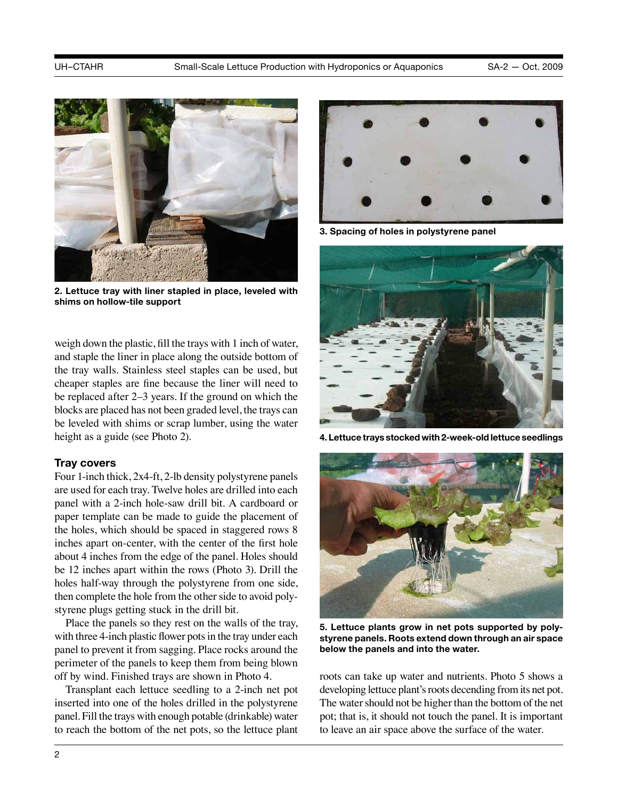

**2. Lettuce tray with liner stapled in place, leveled with shims on hollow-tile support**

weigh down the plastic, fill the trays with 1 inch of water, and staple the liner in place along the outside bottom of the tray walls. Stainless steel staples can be used, but cheaper staples are fine because the liner will need to be replaced after 2–3 years. If the ground on which the blocks are placed has not been graded level, the trays can be leveled with shims or scrap lumber, using the water height as a guide (see Photo 2).

#### **Tray covers**

Four 1-inch thick, 2x4-ft, 2-lb density polystyrene panels are used for each tray. Twelve holes are drilled into each panel with a 2-inch hole-saw drill bit. A cardboard or paper template can be made to guide the placement of the holes, which should be spaced in staggered rows 8 inches apart on-center, with the center of the first hole about 4 inches from the edge of the panel. Holes should be 12 inches apart within the rows (Photo 3). Drill the holes half-way through the polystyrene from one side, then complete the hole from the other side to avoid polystyrene plugs getting stuck in the drill bit.

Place the panels so they rest on the walls of the tray, with three 4-inch plastic flower pots in the tray under each panel to prevent it from sagging. Place rocks around the perimeter of the panels to keep them from being blown off by wind. Finished trays are shown in Photo 4.

Transplant each lettuce seedling to a 2-inch net pot inserted into one of the holes drilled in the polystyrene panel. Fill the trays with enough potable (drinkable) water to reach the bottom of the net pots, so the lettuce plant



**3. Spacing of holes in polystyrene panel**



**4. Lettuce trays stocked with 2-week-old lettuce seedlings**



**5. Lettuce plants grow in net pots supported by polystyrene panels. Roots extend down through an air space below the panels and into the water.**

roots can take up water and nutrients. Photo 5 shows a developing lettuce plant's roots decending from its net pot. The water should not be higher than the bottom of the net pot; that is, it should not touch the panel. It is important to leave an air space above the surface of the water.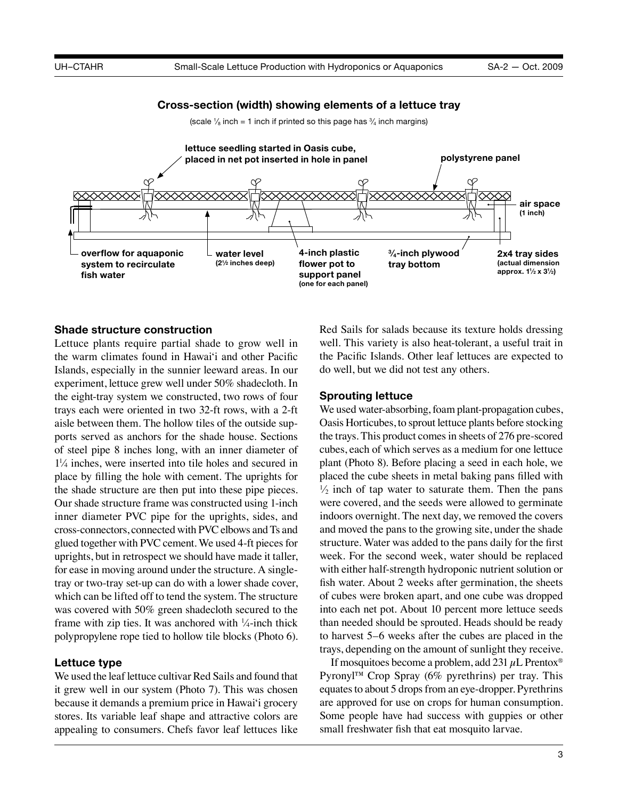#### **Cross-section (width) showing elements of a lettuce tray**

(scale  $\frac{1}{8}$  inch = 1 inch if printed so this page has  $\frac{3}{4}$  inch margins)



### **Shade structure construction**

Lettuce plants require partial shade to grow well in the warm climates found in Hawai'i and other Pacific Islands, especially in the sunnier leeward areas. In our experiment, lettuce grew well under 50% shadecloth. In the eight-tray system we constructed, two rows of four trays each were oriented in two 32-ft rows, with a 2-ft aisle between them. The hollow tiles of the outside supports served as anchors for the shade house. Sections of steel pipe 8 inches long, with an inner diameter of  $1\frac{1}{4}$  inches, were inserted into tile holes and secured in place by filling the hole with cement. The uprights for the shade structure are then put into these pipe pieces. Our shade structure frame was constructed using 1-inch inner diameter PVC pipe for the uprights, sides, and cross-connectors, connected with PVC elbows and Ts and glued together with PVC cement. We used 4-ft pieces for uprights, but in retrospect we should have made it taller, for ease in moving around under the structure. A singletray or two-tray set-up can do with a lower shade cover, which can be lifted off to tend the system. The structure was covered with 50% green shadecloth secured to the frame with zip ties. It was anchored with  $\frac{1}{4}$ -inch thick polypropylene rope tied to hollow tile blocks (Photo 6).

#### **Lettuce type**

We used the leaf lettuce cultivar Red Sails and found that it grew well in our system (Photo 7). This was chosen because it demands a premium price in Hawai'i grocery stores. Its variable leaf shape and attractive colors are appealing to consumers. Chefs favor leaf lettuces like Red Sails for salads because its texture holds dressing well. This variety is also heat-tolerant, a useful trait in the Pacific Islands. Other leaf lettuces are expected to do well, but we did not test any others.

# **Sprouting lettuce**

We used water-absorbing, foam plant-propagation cubes, Oasis Horticubes, to sprout lettuce plants before stocking the trays. This product comes in sheets of 276 pre-scored cubes, each of which serves as a medium for one lettuce plant (Photo 8). Before placing a seed in each hole, we placed the cube sheets in metal baking pans filled with  $\frac{1}{2}$  inch of tap water to saturate them. Then the pans were covered, and the seeds were allowed to germinate indoors overnight. The next day, we removed the covers and moved the pans to the growing site, under the shade structure. Water was added to the pans daily for the first week. For the second week, water should be replaced with either half-strength hydroponic nutrient solution or fish water. About 2 weeks after germination, the sheets of cubes were broken apart, and one cube was dropped into each net pot. About 10 percent more lettuce seeds than needed should be sprouted. Heads should be ready to harvest 5–6 weeks after the cubes are placed in the trays, depending on the amount of sunlight they receive.

If mosquitoes become a problem, add 231  $\mu$ L Prentox<sup>®</sup> Pyronyl™ Crop Spray (6% pyrethrins) per tray. This equates to about 5 drops from an eye-dropper. Pyrethrins are approved for use on crops for human consumption. Some people have had success with guppies or other small freshwater fish that eat mosquito larvae.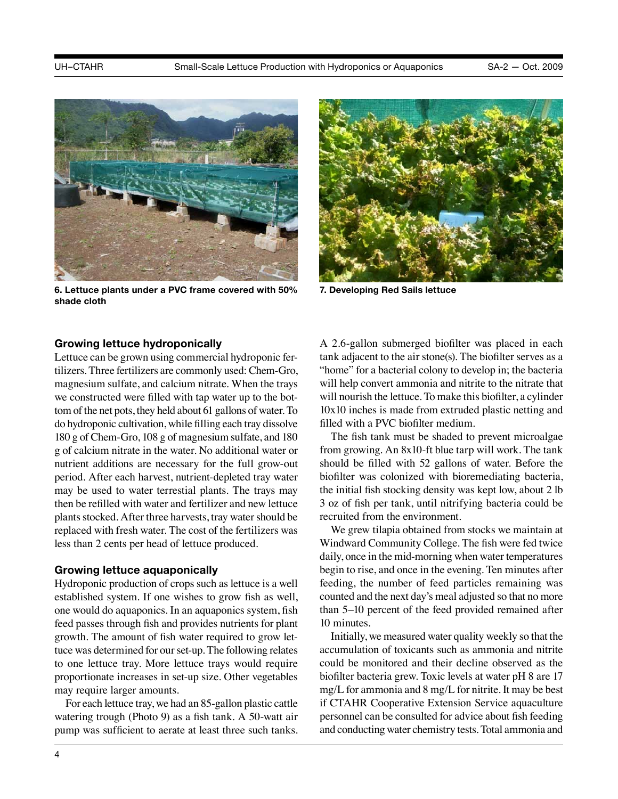

**6. Lettuce plants under a PVC frame covered with 50% shade cloth**

![](_page_3_Picture_5.jpeg)

**7. Developing Red Sails lettuce**

### **Growing lettuce hydroponically**

Lettuce can be grown using commercial hydroponic fertilizers. Three fertilizers are commonly used: Chem-Gro, magnesium sulfate, and calcium nitrate. When the trays we constructed were filled with tap water up to the bottom of the net pots, they held about 61 gallons of water. To do hydroponic cultivation, while filling each tray dissolve 180 g of Chem-Gro, 108 g of magnesium sulfate, and 180 g of calcium nitrate in the water. No additional water or nutrient additions are necessary for the full grow-out period. After each harvest, nutrient-depleted tray water may be used to water terrestial plants. The trays may then be refilled with water and fertilizer and new lettuce plants stocked. After three harvests, tray water should be replaced with fresh water. The cost of the fertilizers was less than 2 cents per head of lettuce produced.

#### **Growing lettuce aquaponically**

Hydroponic production of crops such as lettuce is a well established system. If one wishes to grow fish as well, one would do aquaponics. In an aquaponics system, fish feed passes through fish and provides nutrients for plant growth. The amount of fish water required to grow lettuce was determined for our set-up. The following relates to one lettuce tray. More lettuce trays would require proportionate increases in set-up size. Other vegetables may require larger amounts.

For each lettuce tray, we had an 85-gallon plastic cattle watering trough (Photo 9) as a fish tank. A 50-watt air pump was sufficient to aerate at least three such tanks. A 2.6-gallon submerged biofilter was placed in each tank adjacent to the air stone(s). The biofilter serves as a "home" for a bacterial colony to develop in; the bacteria will help convert ammonia and nitrite to the nitrate that will nourish the lettuce. To make this biofilter, a cylinder 10x10 inches is made from extruded plastic netting and filled with a PVC biofilter medium.

The fish tank must be shaded to prevent microalgae from growing. An 8x10-ft blue tarp will work. The tank should be filled with 52 gallons of water. Before the biofilter was colonized with bioremediating bacteria, the initial fish stocking density was kept low, about 2 lb 3 oz of fish per tank, until nitrifying bacteria could be recruited from the environment.

We grew tilapia obtained from stocks we maintain at Windward Community College. The fish were fed twice daily, once in the mid-morning when water temperatures begin to rise, and once in the evening. Ten minutes after feeding, the number of feed particles remaining was counted and the next day's meal adjusted so that no more than 5–10 percent of the feed provided remained after 10 minutes.

Initially, we measured water quality weekly so that the accumulation of toxicants such as ammonia and nitrite could be monitored and their decline observed as the biofilter bacteria grew. Toxic levels at water pH 8 are 17 mg/L for ammonia and 8 mg/L for nitrite. It may be best if CTAHR Cooperative Extension Service aquaculture personnel can be consulted for advice about fish feeding and conducting water chemistry tests. Total ammonia and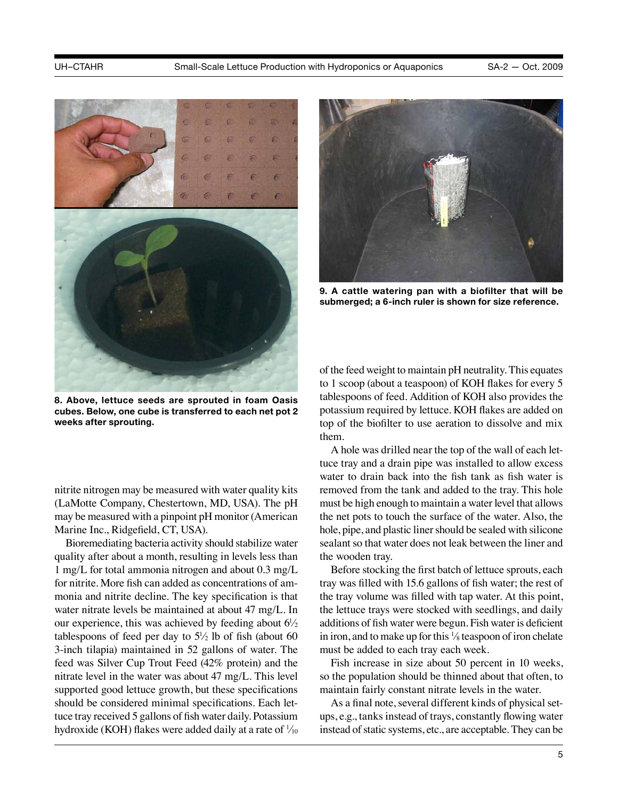![](_page_4_Picture_3.jpeg)

**8. Above, lettuce seeds are sprouted in foam Oasis cubes. Below, one cube is transferred to each net pot 2 weeks after sprouting.**

nitrite nitrogen may be measured with water quality kits (LaMotte Company, Chestertown, MD, USA). The pH may be measured with a pinpoint pH monitor (American Marine Inc., Ridgefield, CT, USA).

Bioremediating bacteria activity should stabilize water quality after about a month, resulting in levels less than 1 mg/L for total ammonia nitrogen and about 0.3 mg/L for nitrite. More fish can added as concentrations of ammonia and nitrite decline. The key specification is that water nitrate levels be maintained at about 47 mg/L. In our experience, this was achieved by feeding about  $6\frac{1}{2}$ tablespoons of feed per day to  $5\frac{1}{2}$  lb of fish (about 60 3-inch tilapia) maintained in 52 gallons of water. The feed was Silver Cup Trout Feed (42% protein) and the nitrate level in the water was about 47 mg/L. This level supported good lettuce growth, but these specifications should be considered minimal specifications. Each lettuce tray received 5 gallons of fish water daily. Potassium hydroxide (KOH) flakes were added daily at a rate of  $\frac{1}{10}$ 

![](_page_4_Picture_7.jpeg)

**9. A cattle watering pan with a biofilter that will be submerged; a 6-inch ruler is shown for size reference.**

of the feed weight to maintain pH neutrality. This equates to 1 scoop (about a teaspoon) of KOH flakes for every 5 tablespoons of feed. Addition of KOH also provides the potassium required by lettuce. KOH flakes are added on top of the biofilter to use aeration to dissolve and mix them.

A hole was drilled near the top of the wall of each lettuce tray and a drain pipe was installed to allow excess water to drain back into the fish tank as fish water is removed from the tank and added to the tray. This hole must be high enough to maintain a water level that allows the net pots to touch the surface of the water. Also, the hole, pipe, and plastic liner should be sealed with silicone sealant so that water does not leak between the liner and the wooden tray.

Before stocking the first batch of lettuce sprouts, each tray was filled with 15.6 gallons of fish water; the rest of the tray volume was filled with tap water. At this point, the lettuce trays were stocked with seedlings, and daily additions of fish water were begun. Fish water is deficient in iron, and to make up for this  $\frac{1}{8}$  teaspoon of iron chelate must be added to each tray each week.

Fish increase in size about 50 percent in 10 weeks, so the population should be thinned about that often, to maintain fairly constant nitrate levels in the water.

As a final note, several different kinds of physical setups, e.g., tanks instead of trays, constantly flowing water instead of static systems, etc., are acceptable. They can be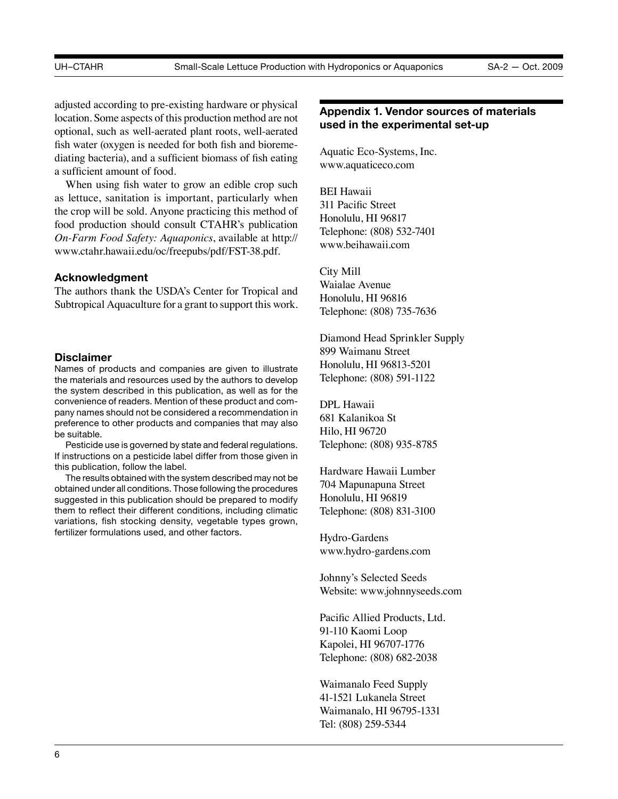adjusted according to pre-existing hardware or physical location. Some aspects of this production method are not optional, such as well-aerated plant roots, well-aerated fish water (oxygen is needed for both fish and bioremediating bacteria), and a sufficient biomass of fish eating a sufficient amount of food.

When using fish water to grow an edible crop such as lettuce, sanitation is important, particularly when the crop will be sold. Anyone practicing this method of food production should consult CTAHR's publication *On-Farm Food Safety: Aquaponics*, available at [http://](http://www.ctahr.hawaii.edu/oc/freepubs/pdf/FST-38.pdf) [www.ctahr.hawaii.edu/oc/freepubs/pdf/FST-38.pdf.](http://www.ctahr.hawaii.edu/oc/freepubs/pdf/FST-38.pdf)

# **Acknowledgment**

The authors thank the USDA's Center for Tropical and Subtropical Aquaculture for a grant to support this work.

#### **Disclaimer**

Names of products and companies are given to illustrate the materials and resources used by the authors to develop the system described in this publication, as well as for the convenience of readers. Mention of these product and company names should not be considered a recommendation in preference to other products and companies that may also be suitable.

Pesticide use is governed by state and federal regulations. If instructions on a pesticide label differ from those given in this publication, follow the label.

The results obtained with the system described may not be obtained under all conditions. Those following the procedures suggested in this publication should be prepared to modify them to reflect their different conditions, including climatic variations, fish stocking density, vegetable types grown, fertilizer formulations used, and other factors.

# **Appendix 1. Vendor sources of materials used in the experimental set-up**

Aquatic Eco-Systems, Inc. www.aquaticeco.com

BEI Hawaii 311 Pacific Street Honolulu, HI 96817 Telephone: (808) 532-7401 www.beihawaii.com

City Mill Waialae Avenue Honolulu, HI 96816

Telephone: (808) 735-7636

Diamond Head Sprinkler Supply 899 Waimanu Street Honolulu, HI 96813-5201 Telephone: (808) 591-1122

DPL Hawaii 681 Kalanikoa St Hilo, HI 96720 Telephone: (808) 935-8785

Hardware Hawaii Lumber 704 Mapunapuna Street Honolulu, HI 96819 Telephone: (808) 831-3100

Hydro-Gardens www.hydro-gardens.com

Johnny's Selected Seeds Website: www.johnnyseeds.com

Pacific Allied Products, Ltd. 91-110 Kaomi Loop Kapolei, HI 96707-1776 Telephone: (808) 682-2038

Waimanalo Feed Supply 41-1521 Lukanela Street Waimanalo, HI 96795-1331 Tel: (808) 259-5344